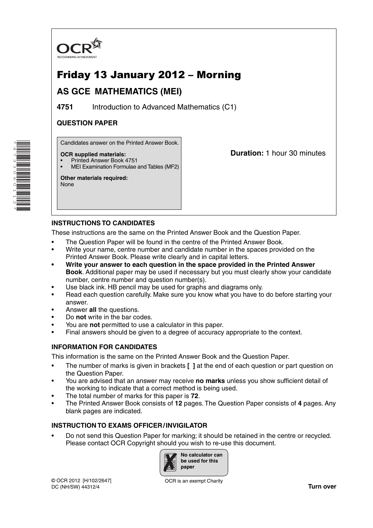

# Friday 13 January 2012 – Morning

## **AS GCE MATHEMATICS (MEI)**

**4751** Introduction to Advanced Mathematics (C1)

## **QUESTION PAPER**

Candidates answer on the Printed Answer Book.

#### **OCR supplied materials:**

- Printed Answer Book 4751
- MEI Examination Formulae and Tables (MF2)

**Other materials required:** None

\*4733060112\*

**Duration:** 1 hour 30 minutes

## **INSTRUCTIONS TO CANDIDATES**

These instructions are the same on the Printed Answer Book and the Question Paper.

- The Question Paper will be found in the centre of the Printed Answer Book.
- Write your name, centre number and candidate number in the spaces provided on the Printed Answer Book. Please write clearly and in capital letters.
- **Write your answer to each question in the space provided in the Printed Answer Book**. Additional paper may be used if necessary but you must clearly show your candidate number, centre number and question number(s).
- Use black ink. HB pencil may be used for graphs and diagrams only.
- Read each question carefully. Make sure you know what you have to do before starting your answer.
- Answer **all** the questions.
- Do **not** write in the bar codes.
- You are **not** permitted to use a calculator in this paper.
- Final answers should be given to a degree of accuracy appropriate to the context.

## **INFORMATION FOR CANDIDATES**

This information is the same on the Printed Answer Book and the Question Paper.

- The number of marks is given in brackets **[ ]** at the end of each question or part question on the Question Paper.
- You are advised that an answer may receive **no marks** unless you show sufficient detail of the working to indicate that a correct method is being used.
- The total number of marks for this paper is **72**.
- The Printed Answer Book consists of **12** pages. The Question Paper consists of **4** pages. Any blank pages are indicated.

### **INSTRUCTION TO EXAMS OFFICER / INVIGILATOR**

• Do not send this Question Paper for marking; it should be retained in the centre or recycled. Please contact OCR Copyright should you wish to re-use this document.

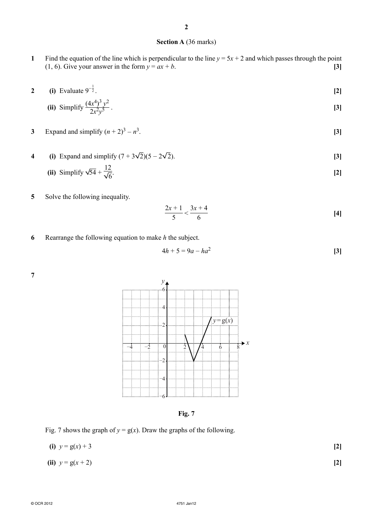#### **Section A** (36 marks)

- **1** Find the equation of the line which is perpendicular to the line  $y = 5x + 2$  and which passes through the point (1, 6). Give your answer in the form  $y = ax + b$ . **[3]**
- **2** (i) Evaluate  $9^{-\frac{1}{2}}$ .  $\frac{1}{2}$ . **[2]**

(ii) Simplify 
$$
\frac{(4x^4)^3 y^2}{2x^2y^5}
$$
. [3]

3 Expand and simplify 
$$
(n+2)^3 - n^3
$$
. [3]

**4** (i) Expand and simplify  $(7 + 3\sqrt{2})(5 - 2\sqrt{2})$ . [3]

(ii) Simplify 
$$
\sqrt{54} + \frac{12}{\sqrt{6}}
$$
. [2]

**5** Solve the following inequality.

$$
\frac{2x+1}{5} < \frac{3x+4}{6} \tag{4}
$$

**6** Rearrange the following equation to make *h* the subject.

12

$$
4h + 5 = 9a - ha^2
$$
 [3]



**Fig. 7**

Fig. 7 shows the graph of  $y = g(x)$ . Draw the graphs of the following.

| (i) $y = g(x) + 3$  | $[2]$ |
|---------------------|-------|
| (ii) $y = g(x + 2)$ | $[2]$ |

**7**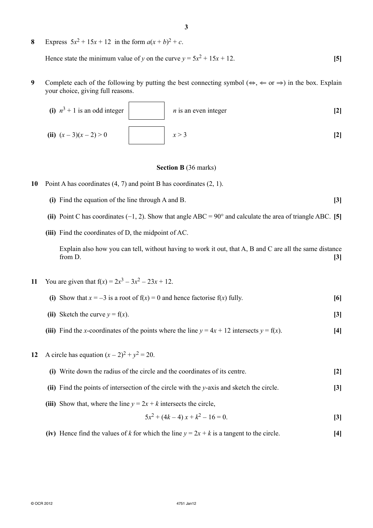**8** Express  $5x^2 + 15x + 12$  in the form  $a(x + b)^2 + c$ .

Hence state the minimum value of *y* on the curve  $y = 5x^2 + 15x + 12$ . [5]

**9** Complete each of the following by putting the best connecting symbol ( $\Leftrightarrow$ ,  $\Leftrightarrow$  or  $\Rightarrow$ ) in the box. Explain your choice, giving full reasons.

| (i) $n^3 + 1$ is an odd integer | $n$ is an even integer |     |
|---------------------------------|------------------------|-----|
| (ii) $(x-3)(x-2) > 0$           | x > 3                  | [2] |

#### **Section B** (36 marks)

- **10** Point A has coordinates (4, 7) and point B has coordinates (2, 1).
	- **(i)** Find the equation of the line through A and B. **[3]**
	- **(ii)** Point C has coordinates (−1, 2). Show that angle ABC = 90° and calculate the area of triangle ABC. **[5]**
	- **(iii)** Find the coordinates of D, the midpoint of AC.

Explain also how you can tell, without having to work it out, that A, B and C are all the same distance from D. **[3]**

- **11** You are given that  $f(x) = 2x^3 3x^2 23x + 12$ .
	- **(i)** Show that  $x = -3$  is a root of  $f(x) = 0$  and hence factorise  $f(x)$  fully. [6]
	- (ii) Sketch the curve  $y = f(x)$ . [3]
	- **(iii)** Find the *x*-coordinates of the points where the line  $y = 4x + 12$  intersects  $y = f(x)$ . [4]
- **12** A circle has equation  $(x 2)^2 + y^2 = 20$ .
	- **(i)** Write down the radius of the circle and the coordinates of its centre. **[2]**
	- **(ii)** Find the points of intersection of the circle with the *y*-axis and sketch the circle. **[3]**
	- **(iii)** Show that, where the line  $y = 2x + k$  intersects the circle,

$$
5x^2 + (4k - 4)x + k^2 - 16 = 0.
$$
 [3]

 **(iv)** Hence find the values of *k* for which the line  $y = 2x + k$  is a tangent to the circle. [4]